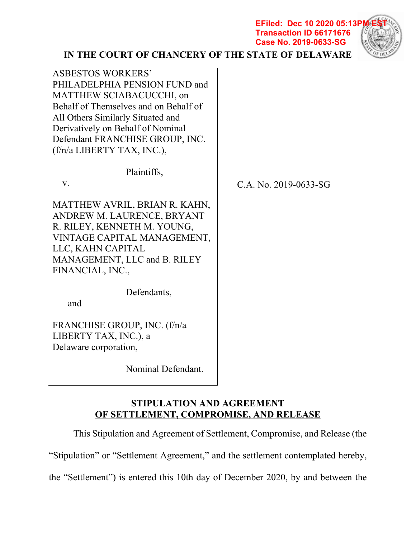**EFiled: Dec 10 2020 05:13P Transaction ID 66171676 Case No. 2019-0633-SG**



# **IN THE COURT OF CHANCERY OF THE STATE OF DELAWARE**

| <b>ASBESTOS WORKERS'</b><br>PHILADELPHIA PENSION FUND and<br>MATTHEW SCIABACUCCHI, on<br>Behalf of Themselves and on Behalf of<br>All Others Similarly Situated and<br>Derivatively on Behalf of Nominal<br>Defendant FRANCHISE GROUP, INC.<br>(f/n/a LIBERTY TAX, INC.), |                       |
|---------------------------------------------------------------------------------------------------------------------------------------------------------------------------------------------------------------------------------------------------------------------------|-----------------------|
| Plaintiffs,                                                                                                                                                                                                                                                               |                       |
| V.                                                                                                                                                                                                                                                                        | C.A. No. 2019-0633-SG |
| MATTHEW AVRIL, BRIAN R. KAHN,<br>ANDREW M. LAURENCE, BRYANT<br>R. RILEY, KENNETH M. YOUNG,<br>VINTAGE CAPITAL MANAGEMENT,<br>LLC, KAHN CAPITAL<br>MANAGEMENT, LLC and B. RILEY<br>FINANCIAL, INC.,                                                                        |                       |
| Defendants,<br>and                                                                                                                                                                                                                                                        |                       |
| FRANCHISE GROUP, INC. (f/n/a<br>LIBERTY TAX, INC.), a<br>Delaware corporation,                                                                                                                                                                                            |                       |

Nominal Defendant.

# **STIPULATION AND AGREEMENT OF SETTLEMENT, COMPROMISE, AND RELEASE**

This Stipulation and Agreement of Settlement, Compromise, and Release (the

"Stipulation" or "Settlement Agreement," and the settlement contemplated hereby,

the "Settlement") is entered this 10th day of December 2020, by and between the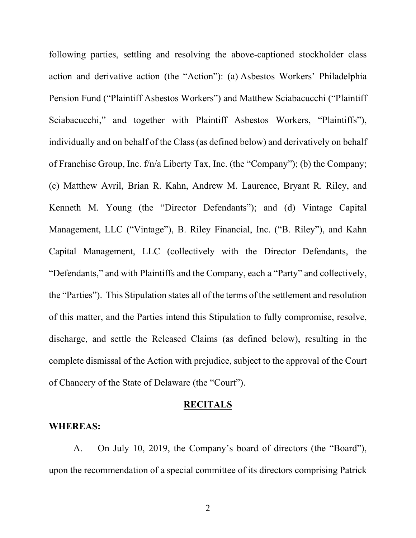following parties, settling and resolving the above-captioned stockholder class action and derivative action (the "Action"): (a) Asbestos Workers' Philadelphia Pension Fund ("Plaintiff Asbestos Workers") and Matthew Sciabacucchi ("Plaintiff Sciabacucchi," and together with Plaintiff Asbestos Workers, "Plaintiffs"), individually and on behalf of the Class (as defined below) and derivatively on behalf of Franchise Group, Inc. f/n/a Liberty Tax, Inc. (the "Company"); (b) the Company; (c) Matthew Avril, Brian R. Kahn, Andrew M. Laurence, Bryant R. Riley, and Kenneth M. Young (the "Director Defendants"); and (d) Vintage Capital Management, LLC ("Vintage"), B. Riley Financial, Inc. ("B. Riley"), and Kahn Capital Management, LLC (collectively with the Director Defendants, the "Defendants," and with Plaintiffs and the Company, each a "Party" and collectively, the "Parties"). This Stipulation states all of the terms of the settlement and resolution of this matter, and the Parties intend this Stipulation to fully compromise, resolve, discharge, and settle the Released Claims (as defined below), resulting in the complete dismissal of the Action with prejudice, subject to the approval of the Court of Chancery of the State of Delaware (the "Court").

#### **RECITALS**

### **WHEREAS:**

A. On July 10, 2019, the Company's board of directors (the "Board"), upon the recommendation of a special committee of its directors comprising Patrick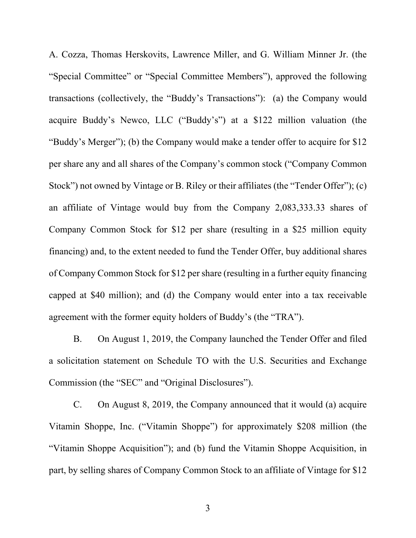A. Cozza, Thomas Herskovits, Lawrence Miller, and G. William Minner Jr. (the "Special Committee" or "Special Committee Members"), approved the following transactions (collectively, the "Buddy's Transactions"): (a) the Company would acquire Buddy's Newco, LLC ("Buddy's") at a \$122 million valuation (the "Buddy's Merger"); (b) the Company would make a tender offer to acquire for \$12 per share any and all shares of the Company's common stock ("Company Common Stock") not owned by Vintage or B. Riley or their affiliates (the "Tender Offer"); (c) an affiliate of Vintage would buy from the Company 2,083,333.33 shares of Company Common Stock for \$12 per share (resulting in a \$25 million equity financing) and, to the extent needed to fund the Tender Offer, buy additional shares of Company Common Stock for \$12 per share (resulting in a further equity financing capped at \$40 million); and (d) the Company would enter into a tax receivable agreement with the former equity holders of Buddy's (the "TRA").

B. On August 1, 2019, the Company launched the Tender Offer and filed a solicitation statement on Schedule TO with the U.S. Securities and Exchange Commission (the "SEC" and "Original Disclosures").

C. On August 8, 2019, the Company announced that it would (a) acquire Vitamin Shoppe, Inc. ("Vitamin Shoppe") for approximately \$208 million (the "Vitamin Shoppe Acquisition"); and (b) fund the Vitamin Shoppe Acquisition, in part, by selling shares of Company Common Stock to an affiliate of Vintage for \$12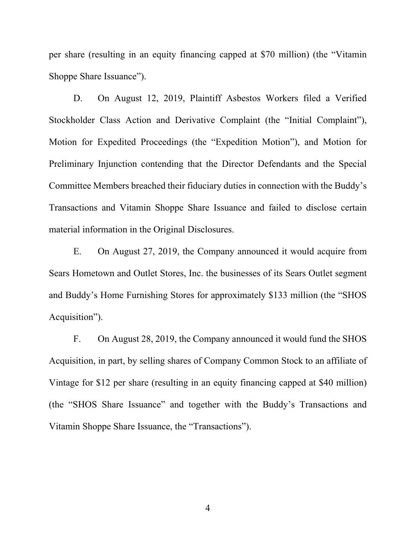per share (resulting in an equity financing capped at \$70 million) (the "Vitamin Shoppe Share Issuance").

D. On August 12, 2019, Plaintiff Asbestos Workers filed a Verified Stockholder Class Action and Derivative Complaint (the "Initial Complaint"), Motion for Expedited Proceedings (the "Expedition Motion"), and Motion for Preliminary Injunction contending that the Director Defendants and the Special Committee Members breached their fiduciary duties in connection with the Buddy's Transactions and Vitamin Shoppe Share Issuance and failed to disclose certain material information in the Original Disclosures.

E. On August 27, 2019, the Company announced it would acquire from Sears Hometown and Outlet Stores, Inc. the businesses of its Sears Outlet segment and Buddy's Home Furnishing Stores for approximately \$133 million (the "SHOS Acquisition").

F. On August 28, 2019, the Company announced it would fund the SHOS Acquisition, in part, by selling shares of Company Common Stock to an affiliate of Vintage for \$12 per share (resulting in an equity financing capped at \$40 million) (the "SHOS Share Issuance" and together with the Buddy's Transactions and Vitamin Shoppe Share Issuance, the "Transactions").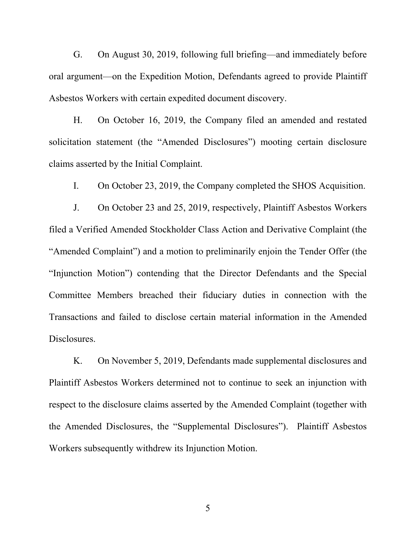G. On August 30, 2019, following full briefing—and immediately before oral argument—on the Expedition Motion, Defendants agreed to provide Plaintiff Asbestos Workers with certain expedited document discovery.

H. On October 16, 2019, the Company filed an amended and restated solicitation statement (the "Amended Disclosures") mooting certain disclosure claims asserted by the Initial Complaint.

I. On October 23, 2019, the Company completed the SHOS Acquisition.

J. On October 23 and 25, 2019, respectively, Plaintiff Asbestos Workers filed a Verified Amended Stockholder Class Action and Derivative Complaint (the "Amended Complaint") and a motion to preliminarily enjoin the Tender Offer (the "Injunction Motion") contending that the Director Defendants and the Special Committee Members breached their fiduciary duties in connection with the Transactions and failed to disclose certain material information in the Amended Disclosures.

K. On November 5, 2019, Defendants made supplemental disclosures and Plaintiff Asbestos Workers determined not to continue to seek an injunction with respect to the disclosure claims asserted by the Amended Complaint (together with the Amended Disclosures, the "Supplemental Disclosures"). Plaintiff Asbestos Workers subsequently withdrew its Injunction Motion.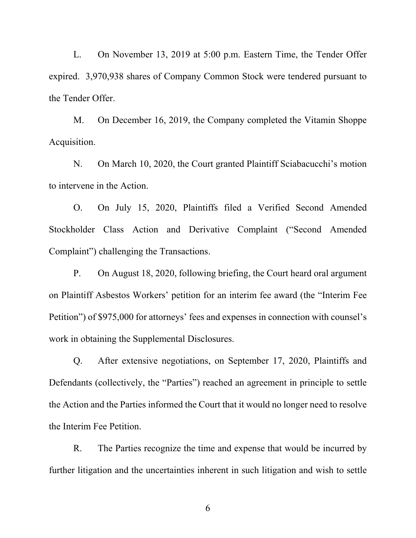L. On November 13, 2019 at 5:00 p.m. Eastern Time, the Tender Offer expired. 3,970,938 shares of Company Common Stock were tendered pursuant to the Tender Offer.

M. On December 16, 2019, the Company completed the Vitamin Shoppe Acquisition.

N. On March 10, 2020, the Court granted Plaintiff Sciabacucchi's motion to intervene in the Action.

O. On July 15, 2020, Plaintiffs filed a Verified Second Amended Stockholder Class Action and Derivative Complaint ("Second Amended Complaint") challenging the Transactions.

P. On August 18, 2020, following briefing, the Court heard oral argument on Plaintiff Asbestos Workers' petition for an interim fee award (the "Interim Fee Petition") of \$975,000 for attorneys' fees and expenses in connection with counsel's work in obtaining the Supplemental Disclosures.

Q. After extensive negotiations, on September 17, 2020, Plaintiffs and Defendants (collectively, the "Parties") reached an agreement in principle to settle the Action and the Parties informed the Court that it would no longer need to resolve the Interim Fee Petition.

R. The Parties recognize the time and expense that would be incurred by further litigation and the uncertainties inherent in such litigation and wish to settle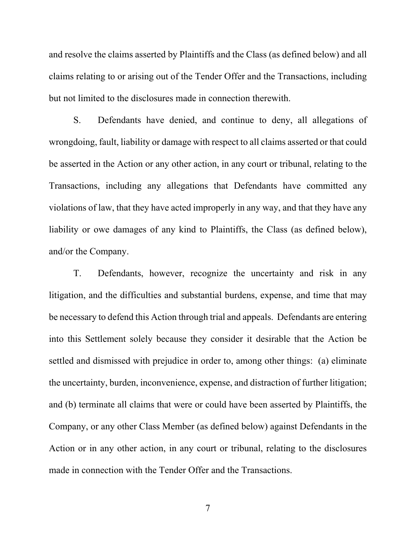and resolve the claims asserted by Plaintiffs and the Class (as defined below) and all claims relating to or arising out of the Tender Offer and the Transactions, including but not limited to the disclosures made in connection therewith.

S. Defendants have denied, and continue to deny, all allegations of wrongdoing, fault, liability or damage with respect to all claims asserted or that could be asserted in the Action or any other action, in any court or tribunal, relating to the Transactions, including any allegations that Defendants have committed any violations of law, that they have acted improperly in any way, and that they have any liability or owe damages of any kind to Plaintiffs, the Class (as defined below), and/or the Company.

T. Defendants, however, recognize the uncertainty and risk in any litigation, and the difficulties and substantial burdens, expense, and time that may be necessary to defend this Action through trial and appeals. Defendants are entering into this Settlement solely because they consider it desirable that the Action be settled and dismissed with prejudice in order to, among other things: (a) eliminate the uncertainty, burden, inconvenience, expense, and distraction of further litigation; and (b) terminate all claims that were or could have been asserted by Plaintiffs, the Company, or any other Class Member (as defined below) against Defendants in the Action or in any other action, in any court or tribunal, relating to the disclosures made in connection with the Tender Offer and the Transactions.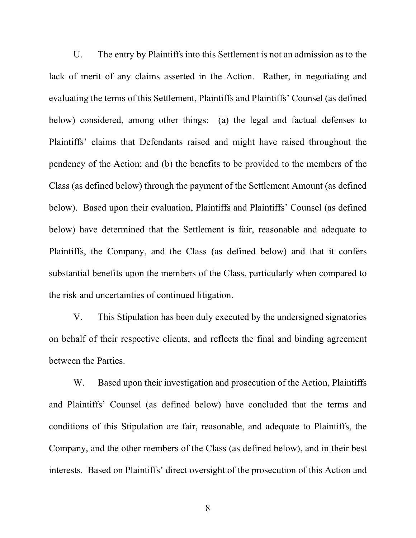U. The entry by Plaintiffs into this Settlement is not an admission as to the lack of merit of any claims asserted in the Action. Rather, in negotiating and evaluating the terms of this Settlement, Plaintiffs and Plaintiffs' Counsel (as defined below) considered, among other things: (a) the legal and factual defenses to Plaintiffs' claims that Defendants raised and might have raised throughout the pendency of the Action; and (b) the benefits to be provided to the members of the Class (as defined below) through the payment of the Settlement Amount (as defined below). Based upon their evaluation, Plaintiffs and Plaintiffs' Counsel (as defined below) have determined that the Settlement is fair, reasonable and adequate to Plaintiffs, the Company, and the Class (as defined below) and that it confers substantial benefits upon the members of the Class, particularly when compared to the risk and uncertainties of continued litigation.

V. This Stipulation has been duly executed by the undersigned signatories on behalf of their respective clients, and reflects the final and binding agreement between the Parties.

W. Based upon their investigation and prosecution of the Action, Plaintiffs and Plaintiffs' Counsel (as defined below) have concluded that the terms and conditions of this Stipulation are fair, reasonable, and adequate to Plaintiffs, the Company, and the other members of the Class (as defined below), and in their best interests. Based on Plaintiffs' direct oversight of the prosecution of this Action and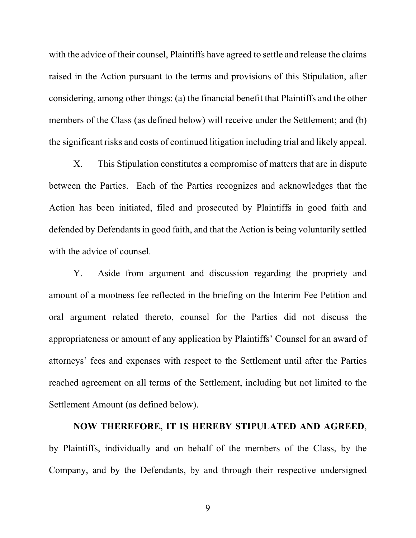with the advice of their counsel, Plaintiffs have agreed to settle and release the claims raised in the Action pursuant to the terms and provisions of this Stipulation, after considering, among other things: (a) the financial benefit that Plaintiffs and the other members of the Class (as defined below) will receive under the Settlement; and (b) the significant risks and costs of continued litigation including trial and likely appeal.

X. This Stipulation constitutes a compromise of matters that are in dispute between the Parties. Each of the Parties recognizes and acknowledges that the Action has been initiated, filed and prosecuted by Plaintiffs in good faith and defended by Defendants in good faith, and that the Action is being voluntarily settled with the advice of counsel.

Y. Aside from argument and discussion regarding the propriety and amount of a mootness fee reflected in the briefing on the Interim Fee Petition and oral argument related thereto, counsel for the Parties did not discuss the appropriateness or amount of any application by Plaintiffs' Counsel for an award of attorneys' fees and expenses with respect to the Settlement until after the Parties reached agreement on all terms of the Settlement, including but not limited to the Settlement Amount (as defined below).

# **NOW THEREFORE, IT IS HEREBY STIPULATED AND AGREED**, by Plaintiffs, individually and on behalf of the members of the Class, by the

Company, and by the Defendants, by and through their respective undersigned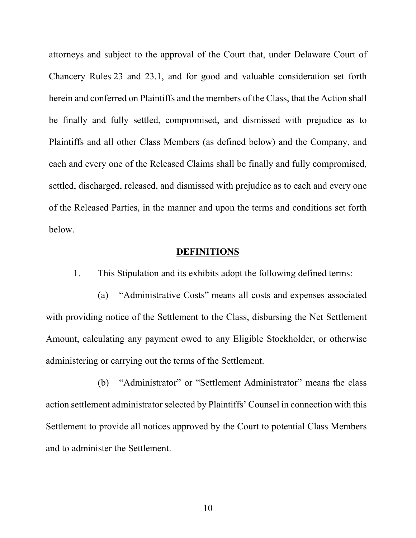attorneys and subject to the approval of the Court that, under Delaware Court of Chancery Rules 23 and 23.1, and for good and valuable consideration set forth herein and conferred on Plaintiffs and the members of the Class, that the Action shall be finally and fully settled, compromised, and dismissed with prejudice as to Plaintiffs and all other Class Members (as defined below) and the Company, and each and every one of the Released Claims shall be finally and fully compromised, settled, discharged, released, and dismissed with prejudice as to each and every one of the Released Parties, in the manner and upon the terms and conditions set forth below.

### **DEFINITIONS**

1. This Stipulation and its exhibits adopt the following defined terms:

(a) "Administrative Costs" means all costs and expenses associated with providing notice of the Settlement to the Class, disbursing the Net Settlement Amount, calculating any payment owed to any Eligible Stockholder, or otherwise administering or carrying out the terms of the Settlement.

(b) "Administrator" or "Settlement Administrator" means the class action settlement administrator selected by Plaintiffs' Counsel in connection with this Settlement to provide all notices approved by the Court to potential Class Members and to administer the Settlement.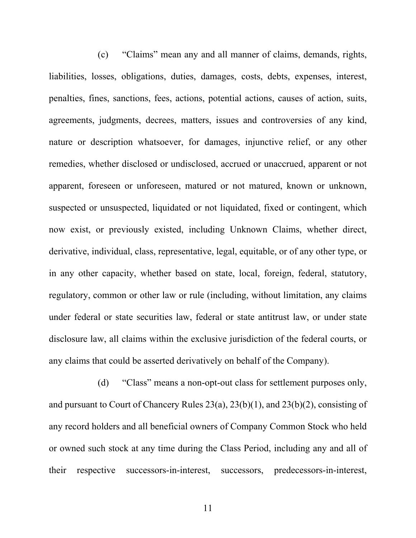(c) "Claims" mean any and all manner of claims, demands, rights, liabilities, losses, obligations, duties, damages, costs, debts, expenses, interest, penalties, fines, sanctions, fees, actions, potential actions, causes of action, suits, agreements, judgments, decrees, matters, issues and controversies of any kind, nature or description whatsoever, for damages, injunctive relief, or any other remedies, whether disclosed or undisclosed, accrued or unaccrued, apparent or not apparent, foreseen or unforeseen, matured or not matured, known or unknown, suspected or unsuspected, liquidated or not liquidated, fixed or contingent, which now exist, or previously existed, including Unknown Claims, whether direct, derivative, individual, class, representative, legal, equitable, or of any other type, or in any other capacity, whether based on state, local, foreign, federal, statutory, regulatory, common or other law or rule (including, without limitation, any claims under federal or state securities law, federal or state antitrust law, or under state disclosure law, all claims within the exclusive jurisdiction of the federal courts, or any claims that could be asserted derivatively on behalf of the Company).

(d) "Class" means a non-opt-out class for settlement purposes only, and pursuant to Court of Chancery Rules 23(a), 23(b)(1), and 23(b)(2), consisting of any record holders and all beneficial owners of Company Common Stock who held or owned such stock at any time during the Class Period, including any and all of their respective successors-in-interest, successors, predecessors-in-interest,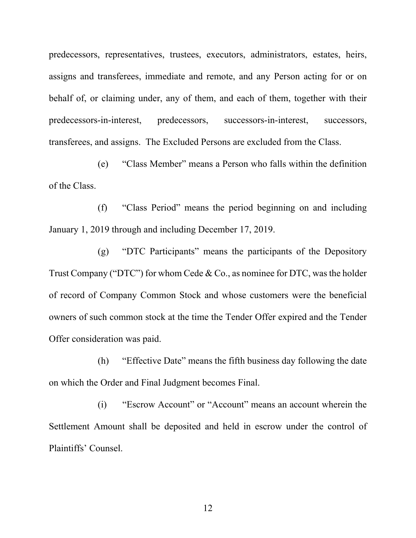predecessors, representatives, trustees, executors, administrators, estates, heirs, assigns and transferees, immediate and remote, and any Person acting for or on behalf of, or claiming under, any of them, and each of them, together with their predecessors-in-interest, predecessors, successors-in-interest, successors, transferees, and assigns. The Excluded Persons are excluded from the Class.

(e) "Class Member" means a Person who falls within the definition of the Class.

(f) "Class Period" means the period beginning on and including January 1, 2019 through and including December 17, 2019.

(g) "DTC Participants" means the participants of the Depository Trust Company ("DTC") for whom Cede & Co., as nominee for DTC, was the holder of record of Company Common Stock and whose customers were the beneficial owners of such common stock at the time the Tender Offer expired and the Tender Offer consideration was paid.

(h) "Effective Date" means the fifth business day following the date on which the Order and Final Judgment becomes Final.

(i) "Escrow Account" or "Account" means an account wherein the Settlement Amount shall be deposited and held in escrow under the control of Plaintiffs' Counsel.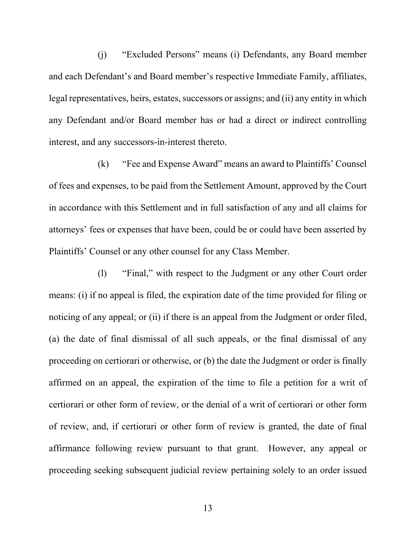(j) "Excluded Persons" means (i) Defendants, any Board member and each Defendant's and Board member's respective Immediate Family, affiliates, legal representatives, heirs, estates, successors or assigns; and (ii) any entity in which any Defendant and/or Board member has or had a direct or indirect controlling interest, and any successors-in-interest thereto.

(k) "Fee and Expense Award" means an award to Plaintiffs' Counsel of fees and expenses, to be paid from the Settlement Amount, approved by the Court in accordance with this Settlement and in full satisfaction of any and all claims for attorneys' fees or expenses that have been, could be or could have been asserted by Plaintiffs' Counsel or any other counsel for any Class Member.

(l) "Final," with respect to the Judgment or any other Court order means: (i) if no appeal is filed, the expiration date of the time provided for filing or noticing of any appeal; or (ii) if there is an appeal from the Judgment or order filed, (a) the date of final dismissal of all such appeals, or the final dismissal of any proceeding on certiorari or otherwise, or (b) the date the Judgment or order is finally affirmed on an appeal, the expiration of the time to file a petition for a writ of certiorari or other form of review, or the denial of a writ of certiorari or other form of review, and, if certiorari or other form of review is granted, the date of final affirmance following review pursuant to that grant. However, any appeal or proceeding seeking subsequent judicial review pertaining solely to an order issued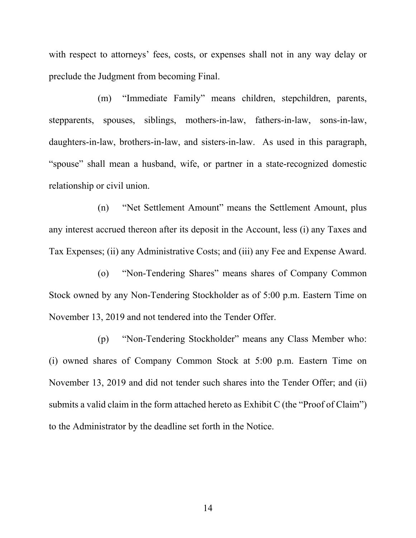with respect to attorneys' fees, costs, or expenses shall not in any way delay or preclude the Judgment from becoming Final.

(m) "Immediate Family" means children, stepchildren, parents, stepparents, spouses, siblings, mothers-in-law, fathers-in-law, sons-in-law, daughters-in-law, brothers-in-law, and sisters-in-law. As used in this paragraph, "spouse" shall mean a husband, wife, or partner in a state-recognized domestic relationship or civil union.

(n) "Net Settlement Amount" means the Settlement Amount, plus any interest accrued thereon after its deposit in the Account, less (i) any Taxes and Tax Expenses; (ii) any Administrative Costs; and (iii) any Fee and Expense Award.

(o) "Non-Tendering Shares" means shares of Company Common Stock owned by any Non-Tendering Stockholder as of 5:00 p.m. Eastern Time on November 13, 2019 and not tendered into the Tender Offer.

(p) "Non-Tendering Stockholder" means any Class Member who: (i) owned shares of Company Common Stock at 5:00 p.m. Eastern Time on November 13, 2019 and did not tender such shares into the Tender Offer; and (ii) submits a valid claim in the form attached hereto as Exhibit C (the "Proof of Claim") to the Administrator by the deadline set forth in the Notice.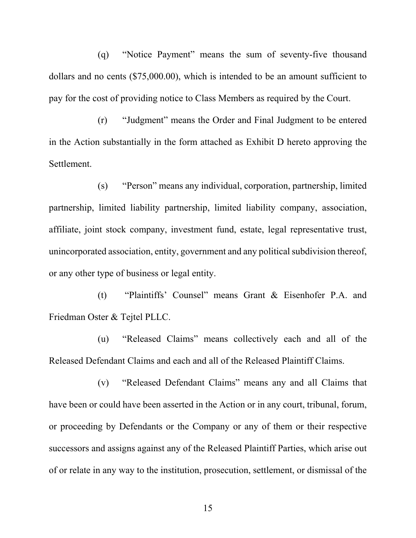(q) "Notice Payment" means the sum of seventy-five thousand dollars and no cents (\$75,000.00), which is intended to be an amount sufficient to pay for the cost of providing notice to Class Members as required by the Court.

(r) "Judgment" means the Order and Final Judgment to be entered in the Action substantially in the form attached as Exhibit D hereto approving the Settlement.

(s) "Person" means any individual, corporation, partnership, limited partnership, limited liability partnership, limited liability company, association, affiliate, joint stock company, investment fund, estate, legal representative trust, unincorporated association, entity, government and any political subdivision thereof, or any other type of business or legal entity.

(t) "Plaintiffs' Counsel" means Grant & Eisenhofer P.A. and Friedman Oster & Tejtel PLLC.

(u) "Released Claims" means collectively each and all of the Released Defendant Claims and each and all of the Released Plaintiff Claims.

(v) "Released Defendant Claims" means any and all Claims that have been or could have been asserted in the Action or in any court, tribunal, forum, or proceeding by Defendants or the Company or any of them or their respective successors and assigns against any of the Released Plaintiff Parties, which arise out of or relate in any way to the institution, prosecution, settlement, or dismissal of the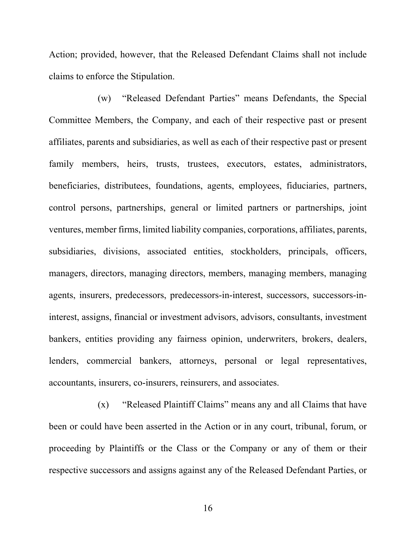Action; provided, however, that the Released Defendant Claims shall not include claims to enforce the Stipulation.

(w) "Released Defendant Parties" means Defendants, the Special Committee Members, the Company, and each of their respective past or present affiliates, parents and subsidiaries, as well as each of their respective past or present family members, heirs, trusts, trustees, executors, estates, administrators, beneficiaries, distributees, foundations, agents, employees, fiduciaries, partners, control persons, partnerships, general or limited partners or partnerships, joint ventures, member firms, limited liability companies, corporations, affiliates, parents, subsidiaries, divisions, associated entities, stockholders, principals, officers, managers, directors, managing directors, members, managing members, managing agents, insurers, predecessors, predecessors-in-interest, successors, successors-ininterest, assigns, financial or investment advisors, advisors, consultants, investment bankers, entities providing any fairness opinion, underwriters, brokers, dealers, lenders, commercial bankers, attorneys, personal or legal representatives, accountants, insurers, co-insurers, reinsurers, and associates.

(x) "Released Plaintiff Claims" means any and all Claims that have been or could have been asserted in the Action or in any court, tribunal, forum, or proceeding by Plaintiffs or the Class or the Company or any of them or their respective successors and assigns against any of the Released Defendant Parties, or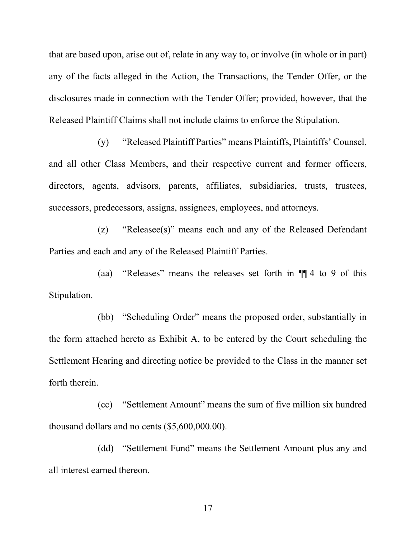that are based upon, arise out of, relate in any way to, or involve (in whole or in part) any of the facts alleged in the Action, the Transactions, the Tender Offer, or the disclosures made in connection with the Tender Offer; provided, however, that the Released Plaintiff Claims shall not include claims to enforce the Stipulation.

(y) "Released Plaintiff Parties" means Plaintiffs, Plaintiffs' Counsel, and all other Class Members, and their respective current and former officers, directors, agents, advisors, parents, affiliates, subsidiaries, trusts, trustees, successors, predecessors, assigns, assignees, employees, and attorneys.

(z) "Releasee(s)" means each and any of the Released Defendant Parties and each and any of the Released Plaintiff Parties.

(aa) "Releases" means the releases set forth in ¶¶ 4 to 9 of this Stipulation.

(bb) "Scheduling Order" means the proposed order, substantially in the form attached hereto as Exhibit A, to be entered by the Court scheduling the Settlement Hearing and directing notice be provided to the Class in the manner set forth therein.

(cc) "Settlement Amount" means the sum of five million six hundred thousand dollars and no cents (\$5,600,000.00).

(dd) "Settlement Fund" means the Settlement Amount plus any and all interest earned thereon.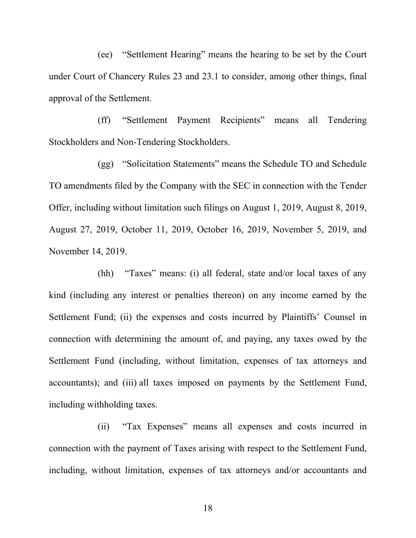(ee) "Settlement Hearing" means the hearing to be set by the Court under Court of Chancery Rules 23 and 23.1 to consider, among other things, final approval of the Settlement.

(ff) "Settlement Payment Recipients" means all Tendering Stockholders and Non-Tendering Stockholders.

(gg) "Solicitation Statements" means the Schedule TO and Schedule TO amendments filed by the Company with the SEC in connection with the Tender Offer, including without limitation such filings on August 1, 2019, August 8, 2019, August 27, 2019, October 11, 2019, October 16, 2019, November 5, 2019, and November 14, 2019.

(hh) "Taxes" means: (i) all federal, state and/or local taxes of any kind (including any interest or penalties thereon) on any income earned by the Settlement Fund; (ii) the expenses and costs incurred by Plaintiffs' Counsel in connection with determining the amount of, and paying, any taxes owed by the Settlement Fund (including, without limitation, expenses of tax attorneys and accountants); and (iii) all taxes imposed on payments by the Settlement Fund, including withholding taxes.

(ii) "Tax Expenses" means all expenses and costs incurred in connection with the payment of Taxes arising with respect to the Settlement Fund, including, without limitation, expenses of tax attorneys and/or accountants and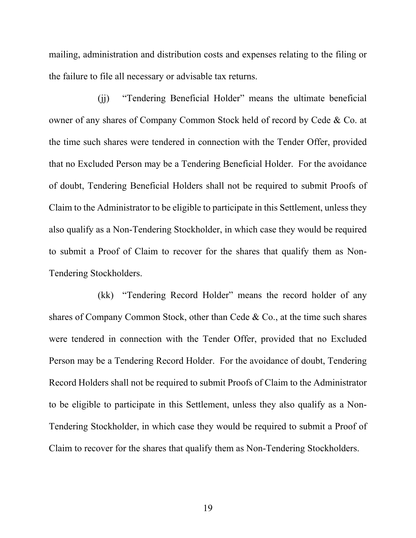mailing, administration and distribution costs and expenses relating to the filing or the failure to file all necessary or advisable tax returns.

(jj) "Tendering Beneficial Holder" means the ultimate beneficial owner of any shares of Company Common Stock held of record by Cede & Co. at the time such shares were tendered in connection with the Tender Offer, provided that no Excluded Person may be a Tendering Beneficial Holder. For the avoidance of doubt, Tendering Beneficial Holders shall not be required to submit Proofs of Claim to the Administrator to be eligible to participate in this Settlement, unless they also qualify as a Non-Tendering Stockholder, in which case they would be required to submit a Proof of Claim to recover for the shares that qualify them as Non-Tendering Stockholders.

(kk) "Tendering Record Holder" means the record holder of any shares of Company Common Stock, other than Cede & Co., at the time such shares were tendered in connection with the Tender Offer, provided that no Excluded Person may be a Tendering Record Holder. For the avoidance of doubt, Tendering Record Holders shall not be required to submit Proofs of Claim to the Administrator to be eligible to participate in this Settlement, unless they also qualify as a Non-Tendering Stockholder, in which case they would be required to submit a Proof of Claim to recover for the shares that qualify them as Non-Tendering Stockholders.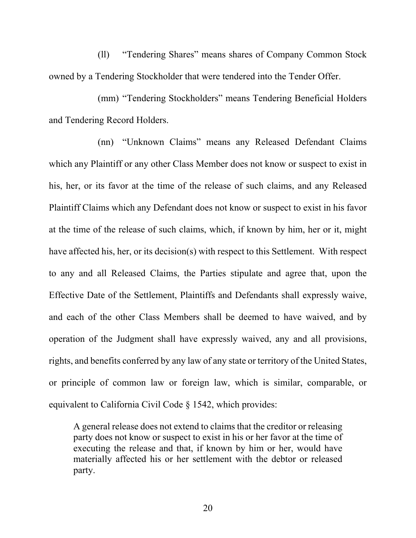(ll) "Tendering Shares" means shares of Company Common Stock owned by a Tendering Stockholder that were tendered into the Tender Offer.

(mm) "Tendering Stockholders" means Tendering Beneficial Holders and Tendering Record Holders.

(nn) "Unknown Claims" means any Released Defendant Claims which any Plaintiff or any other Class Member does not know or suspect to exist in his, her, or its favor at the time of the release of such claims, and any Released Plaintiff Claims which any Defendant does not know or suspect to exist in his favor at the time of the release of such claims, which, if known by him, her or it, might have affected his, her, or its decision(s) with respect to this Settlement. With respect to any and all Released Claims, the Parties stipulate and agree that, upon the Effective Date of the Settlement, Plaintiffs and Defendants shall expressly waive, and each of the other Class Members shall be deemed to have waived, and by operation of the Judgment shall have expressly waived, any and all provisions, rights, and benefits conferred by any law of any state or territory of the United States, or principle of common law or foreign law, which is similar, comparable, or equivalent to California Civil Code § 1542, which provides:

A general release does not extend to claims that the creditor or releasing party does not know or suspect to exist in his or her favor at the time of executing the release and that, if known by him or her, would have materially affected his or her settlement with the debtor or released party.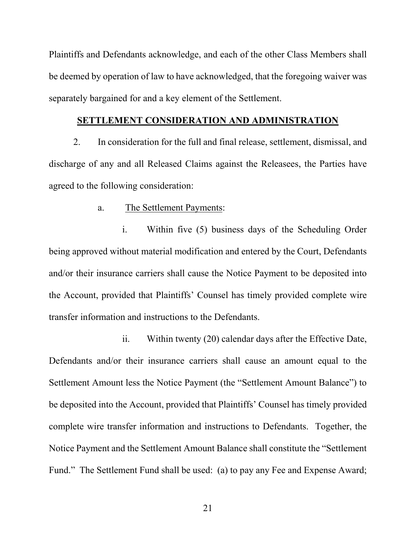Plaintiffs and Defendants acknowledge, and each of the other Class Members shall be deemed by operation of law to have acknowledged, that the foregoing waiver was separately bargained for and a key element of the Settlement.

#### **SETTLEMENT CONSIDERATION AND ADMINISTRATION**

2. In consideration for the full and final release, settlement, dismissal, and discharge of any and all Released Claims against the Releasees, the Parties have agreed to the following consideration:

# a. The Settlement Payments:

i. Within five (5) business days of the Scheduling Order being approved without material modification and entered by the Court, Defendants and/or their insurance carriers shall cause the Notice Payment to be deposited into the Account, provided that Plaintiffs' Counsel has timely provided complete wire transfer information and instructions to the Defendants.

ii. Within twenty (20) calendar days after the Effective Date, Defendants and/or their insurance carriers shall cause an amount equal to the Settlement Amount less the Notice Payment (the "Settlement Amount Balance") to be deposited into the Account, provided that Plaintiffs' Counsel has timely provided complete wire transfer information and instructions to Defendants. Together, the Notice Payment and the Settlement Amount Balance shall constitute the "Settlement Fund." The Settlement Fund shall be used: (a) to pay any Fee and Expense Award;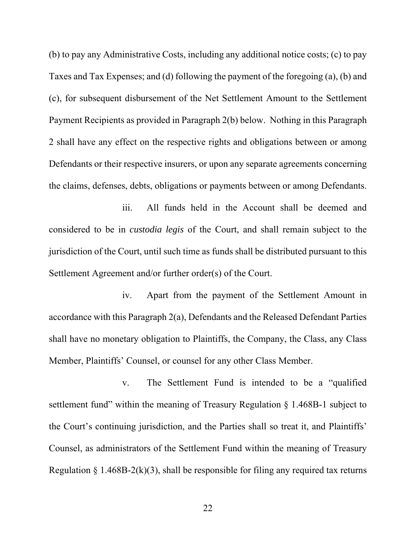(b) to pay any Administrative Costs, including any additional notice costs; (c) to pay Taxes and Tax Expenses; and (d) following the payment of the foregoing (a), (b) and (c), for subsequent disbursement of the Net Settlement Amount to the Settlement Payment Recipients as provided in Paragraph 2(b) below. Nothing in this Paragraph 2 shall have any effect on the respective rights and obligations between or among Defendants or their respective insurers, or upon any separate agreements concerning the claims, defenses, debts, obligations or payments between or among Defendants.

iii. All funds held in the Account shall be deemed and considered to be in *custodia legis* of the Court, and shall remain subject to the jurisdiction of the Court, until such time as funds shall be distributed pursuant to this Settlement Agreement and/or further order(s) of the Court.

iv. Apart from the payment of the Settlement Amount in accordance with this Paragraph 2(a), Defendants and the Released Defendant Parties shall have no monetary obligation to Plaintiffs, the Company, the Class, any Class Member, Plaintiffs' Counsel, or counsel for any other Class Member.

v. The Settlement Fund is intended to be a "qualified settlement fund" within the meaning of Treasury Regulation § 1.468B-1 subject to the Court's continuing jurisdiction, and the Parties shall so treat it, and Plaintiffs' Counsel, as administrators of the Settlement Fund within the meaning of Treasury Regulation § 1.468B-2(k)(3), shall be responsible for filing any required tax returns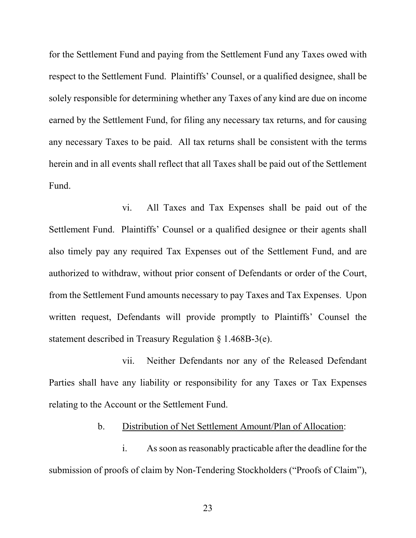for the Settlement Fund and paying from the Settlement Fund any Taxes owed with respect to the Settlement Fund. Plaintiffs' Counsel, or a qualified designee, shall be solely responsible for determining whether any Taxes of any kind are due on income earned by the Settlement Fund, for filing any necessary tax returns, and for causing any necessary Taxes to be paid. All tax returns shall be consistent with the terms herein and in all events shall reflect that all Taxes shall be paid out of the Settlement Fund.

vi. All Taxes and Tax Expenses shall be paid out of the Settlement Fund. Plaintiffs' Counsel or a qualified designee or their agents shall also timely pay any required Tax Expenses out of the Settlement Fund, and are authorized to withdraw, without prior consent of Defendants or order of the Court, from the Settlement Fund amounts necessary to pay Taxes and Tax Expenses. Upon written request, Defendants will provide promptly to Plaintiffs' Counsel the statement described in Treasury Regulation § 1.468B-3(e).

vii. Neither Defendants nor any of the Released Defendant Parties shall have any liability or responsibility for any Taxes or Tax Expenses relating to the Account or the Settlement Fund.

b. Distribution of Net Settlement Amount/Plan of Allocation:

i. As soon as reasonably practicable after the deadline for the submission of proofs of claim by Non-Tendering Stockholders ("Proofs of Claim"),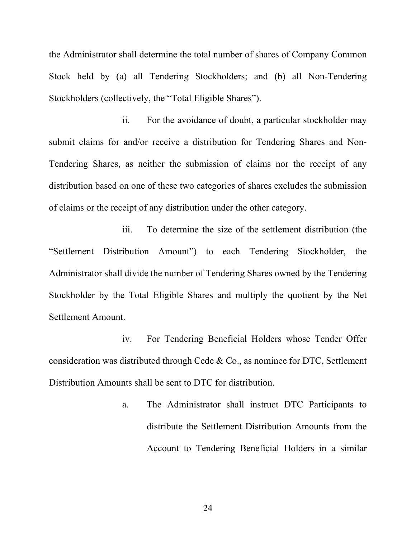the Administrator shall determine the total number of shares of Company Common Stock held by (a) all Tendering Stockholders; and (b) all Non-Tendering Stockholders (collectively, the "Total Eligible Shares").

ii. For the avoidance of doubt, a particular stockholder may submit claims for and/or receive a distribution for Tendering Shares and Non-Tendering Shares, as neither the submission of claims nor the receipt of any distribution based on one of these two categories of shares excludes the submission of claims or the receipt of any distribution under the other category.

iii. To determine the size of the settlement distribution (the "Settlement Distribution Amount") to each Tendering Stockholder, the Administrator shall divide the number of Tendering Shares owned by the Tendering Stockholder by the Total Eligible Shares and multiply the quotient by the Net Settlement Amount.

iv. For Tendering Beneficial Holders whose Tender Offer consideration was distributed through Cede & Co., as nominee for DTC, Settlement Distribution Amounts shall be sent to DTC for distribution.

> a. The Administrator shall instruct DTC Participants to distribute the Settlement Distribution Amounts from the Account to Tendering Beneficial Holders in a similar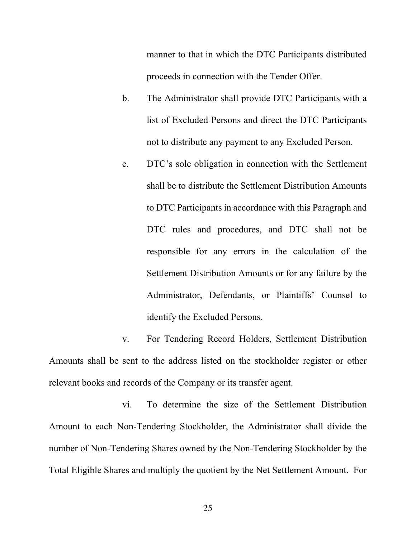manner to that in which the DTC Participants distributed proceeds in connection with the Tender Offer.

- b. The Administrator shall provide DTC Participants with a list of Excluded Persons and direct the DTC Participants not to distribute any payment to any Excluded Person.
- c. DTC's sole obligation in connection with the Settlement shall be to distribute the Settlement Distribution Amounts to DTC Participants in accordance with this Paragraph and DTC rules and procedures, and DTC shall not be responsible for any errors in the calculation of the Settlement Distribution Amounts or for any failure by the Administrator, Defendants, or Plaintiffs' Counsel to identify the Excluded Persons.

v. For Tendering Record Holders, Settlement Distribution Amounts shall be sent to the address listed on the stockholder register or other relevant books and records of the Company or its transfer agent.

vi. To determine the size of the Settlement Distribution Amount to each Non-Tendering Stockholder, the Administrator shall divide the number of Non-Tendering Shares owned by the Non-Tendering Stockholder by the Total Eligible Shares and multiply the quotient by the Net Settlement Amount. For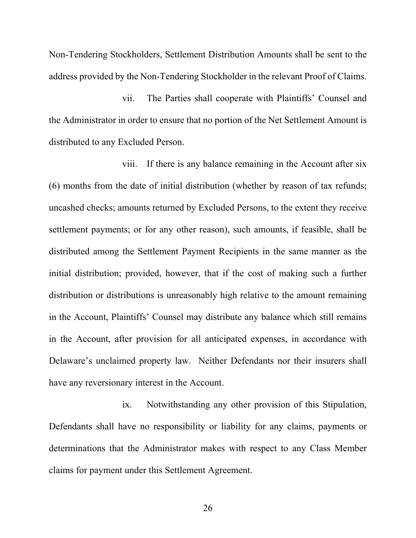Non-Tendering Stockholders, Settlement Distribution Amounts shall be sent to the address provided by the Non-Tendering Stockholder in the relevant Proof of Claims.

vii. The Parties shall cooperate with Plaintiffs' Counsel and the Administrator in order to ensure that no portion of the Net Settlement Amount is distributed to any Excluded Person.

viii. If there is any balance remaining in the Account after six (6) months from the date of initial distribution (whether by reason of tax refunds; uncashed checks; amounts returned by Excluded Persons, to the extent they receive settlement payments; or for any other reason), such amounts, if feasible, shall be distributed among the Settlement Payment Recipients in the same manner as the initial distribution; provided, however, that if the cost of making such a further distribution or distributions is unreasonably high relative to the amount remaining in the Account, Plaintiffs' Counsel may distribute any balance which still remains in the Account, after provision for all anticipated expenses, in accordance with Delaware's unclaimed property law. Neither Defendants nor their insurers shall have any reversionary interest in the Account.

ix. Notwithstanding any other provision of this Stipulation, Defendants shall have no responsibility or liability for any claims, payments or determinations that the Administrator makes with respect to any Class Member claims for payment under this Settlement Agreement.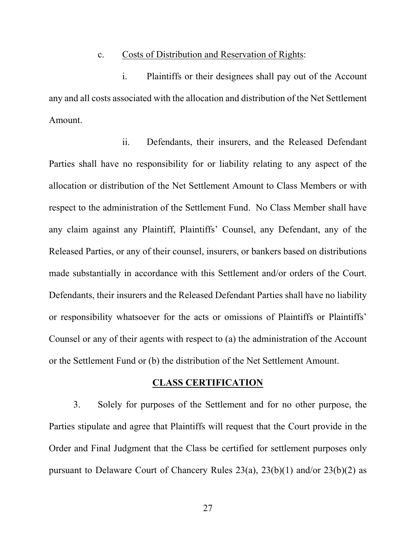#### c. Costs of Distribution and Reservation of Rights:

i. Plaintiffs or their designees shall pay out of the Account any and all costs associated with the allocation and distribution of the Net Settlement Amount.

ii. Defendants, their insurers, and the Released Defendant Parties shall have no responsibility for or liability relating to any aspect of the allocation or distribution of the Net Settlement Amount to Class Members or with respect to the administration of the Settlement Fund. No Class Member shall have any claim against any Plaintiff, Plaintiffs' Counsel, any Defendant, any of the Released Parties, or any of their counsel, insurers, or bankers based on distributions made substantially in accordance with this Settlement and/or orders of the Court. Defendants, their insurers and the Released Defendant Parties shall have no liability or responsibility whatsoever for the acts or omissions of Plaintiffs or Plaintiffs' Counsel or any of their agents with respect to (a) the administration of the Account or the Settlement Fund or (b) the distribution of the Net Settlement Amount.

## **CLASS CERTIFICATION**

3. Solely for purposes of the Settlement and for no other purpose, the Parties stipulate and agree that Plaintiffs will request that the Court provide in the Order and Final Judgment that the Class be certified for settlement purposes only pursuant to Delaware Court of Chancery Rules 23(a), 23(b)(1) and/or 23(b)(2) as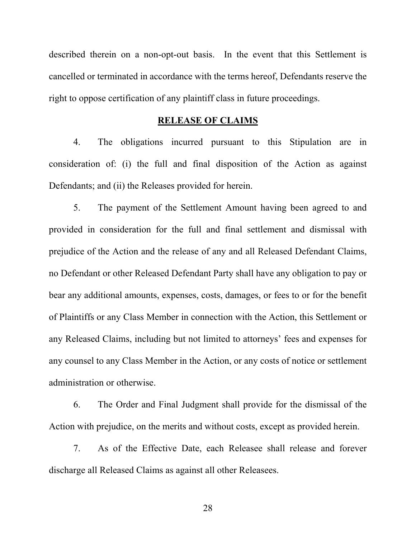described therein on a non-opt-out basis. In the event that this Settlement is cancelled or terminated in accordance with the terms hereof, Defendants reserve the right to oppose certification of any plaintiff class in future proceedings.

# **RELEASE OF CLAIMS**

4. The obligations incurred pursuant to this Stipulation are in consideration of: (i) the full and final disposition of the Action as against Defendants; and (ii) the Releases provided for herein.

5. The payment of the Settlement Amount having been agreed to and provided in consideration for the full and final settlement and dismissal with prejudice of the Action and the release of any and all Released Defendant Claims, no Defendant or other Released Defendant Party shall have any obligation to pay or bear any additional amounts, expenses, costs, damages, or fees to or for the benefit of Plaintiffs or any Class Member in connection with the Action, this Settlement or any Released Claims, including but not limited to attorneys' fees and expenses for any counsel to any Class Member in the Action, or any costs of notice or settlement administration or otherwise.

6. The Order and Final Judgment shall provide for the dismissal of the Action with prejudice, on the merits and without costs, except as provided herein.

7. As of the Effective Date, each Releasee shall release and forever discharge all Released Claims as against all other Releasees.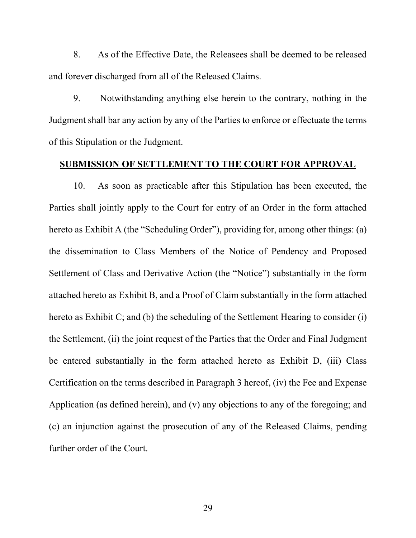8. As of the Effective Date, the Releasees shall be deemed to be released and forever discharged from all of the Released Claims.

9. Notwithstanding anything else herein to the contrary, nothing in the Judgment shall bar any action by any of the Parties to enforce or effectuate the terms of this Stipulation or the Judgment.

### **SUBMISSION OF SETTLEMENT TO THE COURT FOR APPROVAL**

10. As soon as practicable after this Stipulation has been executed, the Parties shall jointly apply to the Court for entry of an Order in the form attached hereto as Exhibit A (the "Scheduling Order"), providing for, among other things: (a) the dissemination to Class Members of the Notice of Pendency and Proposed Settlement of Class and Derivative Action (the "Notice") substantially in the form attached hereto as Exhibit B, and a Proof of Claim substantially in the form attached hereto as Exhibit C; and (b) the scheduling of the Settlement Hearing to consider (i) the Settlement, (ii) the joint request of the Parties that the Order and Final Judgment be entered substantially in the form attached hereto as Exhibit D, (iii) Class Certification on the terms described in Paragraph 3 hereof, (iv) the Fee and Expense Application (as defined herein), and (v) any objections to any of the foregoing; and (c) an injunction against the prosecution of any of the Released Claims, pending further order of the Court.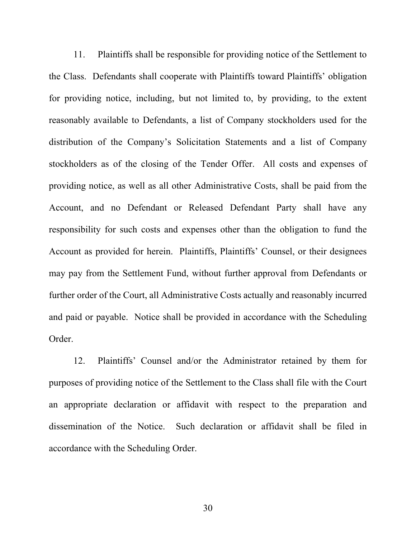11. Plaintiffs shall be responsible for providing notice of the Settlement to the Class. Defendants shall cooperate with Plaintiffs toward Plaintiffs' obligation for providing notice, including, but not limited to, by providing, to the extent reasonably available to Defendants, a list of Company stockholders used for the distribution of the Company's Solicitation Statements and a list of Company stockholders as of the closing of the Tender Offer. All costs and expenses of providing notice, as well as all other Administrative Costs, shall be paid from the Account, and no Defendant or Released Defendant Party shall have any responsibility for such costs and expenses other than the obligation to fund the Account as provided for herein. Plaintiffs, Plaintiffs' Counsel, or their designees may pay from the Settlement Fund, without further approval from Defendants or further order of the Court, all Administrative Costs actually and reasonably incurred and paid or payable. Notice shall be provided in accordance with the Scheduling Order.

12. Plaintiffs' Counsel and/or the Administrator retained by them for purposes of providing notice of the Settlement to the Class shall file with the Court an appropriate declaration or affidavit with respect to the preparation and dissemination of the Notice. Such declaration or affidavit shall be filed in accordance with the Scheduling Order.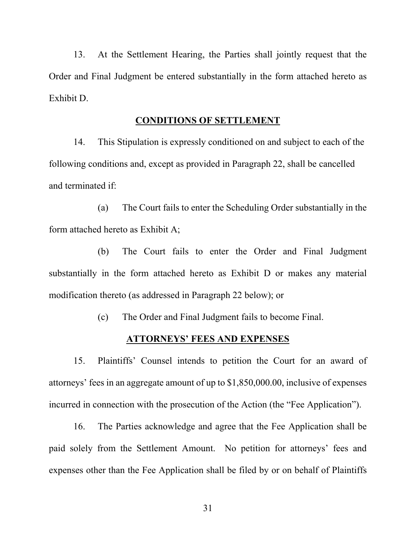13. At the Settlement Hearing, the Parties shall jointly request that the Order and Final Judgment be entered substantially in the form attached hereto as Exhibit D.

# **CONDITIONS OF SETTLEMENT**

14. This Stipulation is expressly conditioned on and subject to each of the following conditions and, except as provided in Paragraph 22, shall be cancelled and terminated if:

(a) The Court fails to enter the Scheduling Order substantially in the form attached hereto as Exhibit A;

(b) The Court fails to enter the Order and Final Judgment substantially in the form attached hereto as Exhibit D or makes any material modification thereto (as addressed in Paragraph 22 below); or

(c) The Order and Final Judgment fails to become Final.

### **ATTORNEYS' FEES AND EXPENSES**

15. Plaintiffs' Counsel intends to petition the Court for an award of attorneys' fees in an aggregate amount of up to \$1,850,000.00, inclusive of expenses incurred in connection with the prosecution of the Action (the "Fee Application").

16. The Parties acknowledge and agree that the Fee Application shall be paid solely from the Settlement Amount. No petition for attorneys' fees and expenses other than the Fee Application shall be filed by or on behalf of Plaintiffs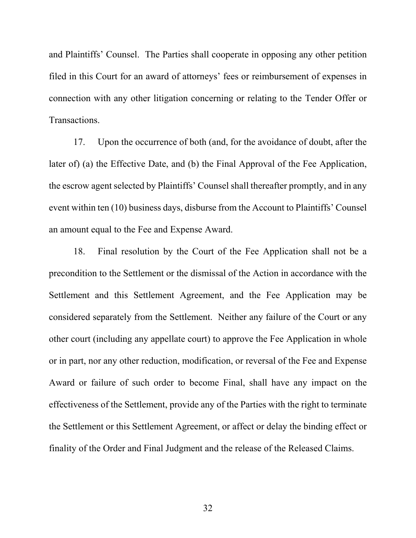and Plaintiffs' Counsel. The Parties shall cooperate in opposing any other petition filed in this Court for an award of attorneys' fees or reimbursement of expenses in connection with any other litigation concerning or relating to the Tender Offer or Transactions.

17. Upon the occurrence of both (and, for the avoidance of doubt, after the later of) (a) the Effective Date, and (b) the Final Approval of the Fee Application, the escrow agent selected by Plaintiffs' Counsel shall thereafter promptly, and in any event within ten (10) business days, disburse from the Account to Plaintiffs' Counsel an amount equal to the Fee and Expense Award.

18. Final resolution by the Court of the Fee Application shall not be a precondition to the Settlement or the dismissal of the Action in accordance with the Settlement and this Settlement Agreement, and the Fee Application may be considered separately from the Settlement. Neither any failure of the Court or any other court (including any appellate court) to approve the Fee Application in whole or in part, nor any other reduction, modification, or reversal of the Fee and Expense Award or failure of such order to become Final, shall have any impact on the effectiveness of the Settlement, provide any of the Parties with the right to terminate the Settlement or this Settlement Agreement, or affect or delay the binding effect or finality of the Order and Final Judgment and the release of the Released Claims.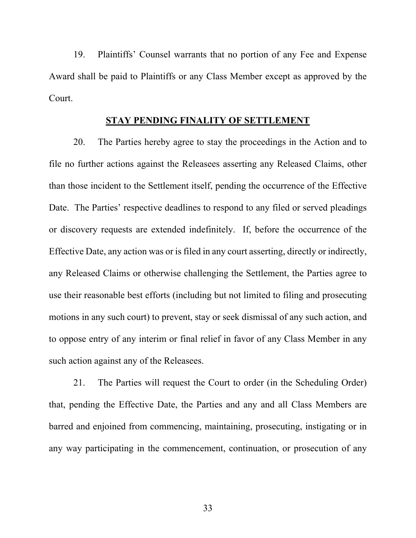19. Plaintiffs' Counsel warrants that no portion of any Fee and Expense Award shall be paid to Plaintiffs or any Class Member except as approved by the Court.

# **STAY PENDING FINALITY OF SETTLEMENT**

20. The Parties hereby agree to stay the proceedings in the Action and to file no further actions against the Releasees asserting any Released Claims, other than those incident to the Settlement itself, pending the occurrence of the Effective Date. The Parties' respective deadlines to respond to any filed or served pleadings or discovery requests are extended indefinitely. If, before the occurrence of the Effective Date, any action was or is filed in any court asserting, directly or indirectly, any Released Claims or otherwise challenging the Settlement, the Parties agree to use their reasonable best efforts (including but not limited to filing and prosecuting motions in any such court) to prevent, stay or seek dismissal of any such action, and to oppose entry of any interim or final relief in favor of any Class Member in any such action against any of the Releasees.

21. The Parties will request the Court to order (in the Scheduling Order) that, pending the Effective Date, the Parties and any and all Class Members are barred and enjoined from commencing, maintaining, prosecuting, instigating or in any way participating in the commencement, continuation, or prosecution of any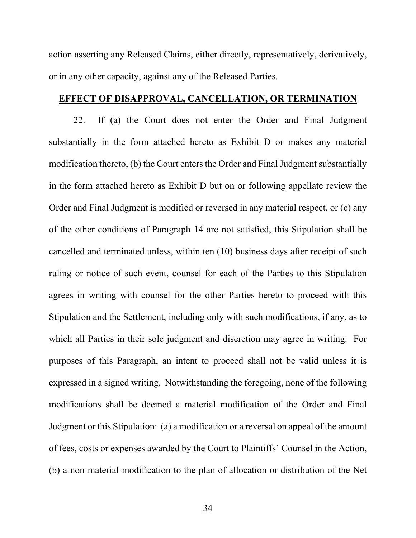action asserting any Released Claims, either directly, representatively, derivatively, or in any other capacity, against any of the Released Parties.

# **EFFECT OF DISAPPROVAL, CANCELLATION, OR TERMINATION**

22. If (a) the Court does not enter the Order and Final Judgment substantially in the form attached hereto as Exhibit D or makes any material modification thereto, (b) the Court enters the Order and Final Judgment substantially in the form attached hereto as Exhibit D but on or following appellate review the Order and Final Judgment is modified or reversed in any material respect, or (c) any of the other conditions of Paragraph 14 are not satisfied, this Stipulation shall be cancelled and terminated unless, within ten (10) business days after receipt of such ruling or notice of such event, counsel for each of the Parties to this Stipulation agrees in writing with counsel for the other Parties hereto to proceed with this Stipulation and the Settlement, including only with such modifications, if any, as to which all Parties in their sole judgment and discretion may agree in writing. For purposes of this Paragraph, an intent to proceed shall not be valid unless it is expressed in a signed writing. Notwithstanding the foregoing, none of the following modifications shall be deemed a material modification of the Order and Final Judgment or this Stipulation: (a) a modification or a reversal on appeal of the amount of fees, costs or expenses awarded by the Court to Plaintiffs' Counsel in the Action, (b) a non-material modification to the plan of allocation or distribution of the Net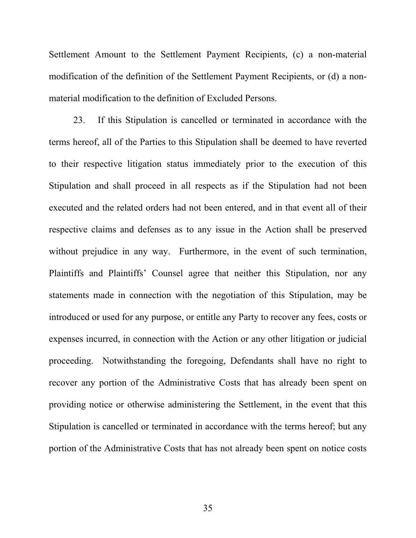Settlement Amount to the Settlement Payment Recipients, (c) a non-material modification of the definition of the Settlement Payment Recipients, or (d) a nonmaterial modification to the definition of Excluded Persons.

23. If this Stipulation is cancelled or terminated in accordance with the terms hereof, all of the Parties to this Stipulation shall be deemed to have reverted to their respective litigation status immediately prior to the execution of this Stipulation and shall proceed in all respects as if the Stipulation had not been executed and the related orders had not been entered, and in that event all of their respective claims and defenses as to any issue in the Action shall be preserved without prejudice in any way. Furthermore, in the event of such termination, Plaintiffs and Plaintiffs' Counsel agree that neither this Stipulation, nor any statements made in connection with the negotiation of this Stipulation, may be introduced or used for any purpose, or entitle any Party to recover any fees, costs or expenses incurred, in connection with the Action or any other litigation or judicial proceeding. Notwithstanding the foregoing, Defendants shall have no right to recover any portion of the Administrative Costs that has already been spent on providing notice or otherwise administering the Settlement, in the event that this Stipulation is cancelled or terminated in accordance with the terms hereof; but any portion of the Administrative Costs that has not already been spent on notice costs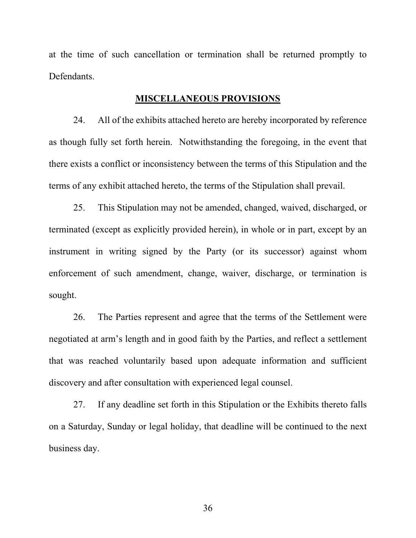at the time of such cancellation or termination shall be returned promptly to Defendants.

# **MISCELLANEOUS PROVISIONS**

24. All of the exhibits attached hereto are hereby incorporated by reference as though fully set forth herein. Notwithstanding the foregoing, in the event that there exists a conflict or inconsistency between the terms of this Stipulation and the terms of any exhibit attached hereto, the terms of the Stipulation shall prevail.

25. This Stipulation may not be amended, changed, waived, discharged, or terminated (except as explicitly provided herein), in whole or in part, except by an instrument in writing signed by the Party (or its successor) against whom enforcement of such amendment, change, waiver, discharge, or termination is sought.

26. The Parties represent and agree that the terms of the Settlement were negotiated at arm's length and in good faith by the Parties, and reflect a settlement that was reached voluntarily based upon adequate information and sufficient discovery and after consultation with experienced legal counsel.

27. If any deadline set forth in this Stipulation or the Exhibits thereto falls on a Saturday, Sunday or legal holiday, that deadline will be continued to the next business day.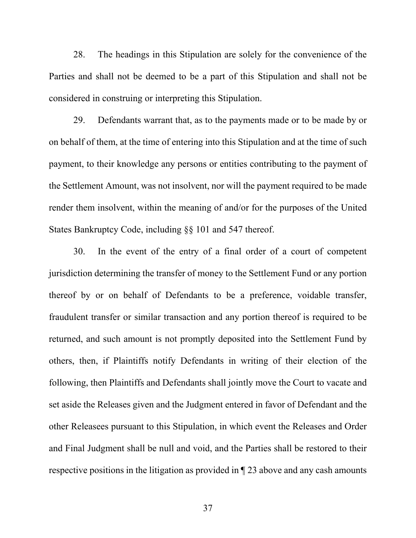28. The headings in this Stipulation are solely for the convenience of the Parties and shall not be deemed to be a part of this Stipulation and shall not be considered in construing or interpreting this Stipulation.

29. Defendants warrant that, as to the payments made or to be made by or on behalf of them, at the time of entering into this Stipulation and at the time of such payment, to their knowledge any persons or entities contributing to the payment of the Settlement Amount, was not insolvent, nor will the payment required to be made render them insolvent, within the meaning of and/or for the purposes of the United States Bankruptcy Code, including §§ 101 and 547 thereof.

30. In the event of the entry of a final order of a court of competent jurisdiction determining the transfer of money to the Settlement Fund or any portion thereof by or on behalf of Defendants to be a preference, voidable transfer, fraudulent transfer or similar transaction and any portion thereof is required to be returned, and such amount is not promptly deposited into the Settlement Fund by others, then, if Plaintiffs notify Defendants in writing of their election of the following, then Plaintiffs and Defendants shall jointly move the Court to vacate and set aside the Releases given and the Judgment entered in favor of Defendant and the other Releasees pursuant to this Stipulation, in which event the Releases and Order and Final Judgment shall be null and void, and the Parties shall be restored to their respective positions in the litigation as provided in ¶ 23 above and any cash amounts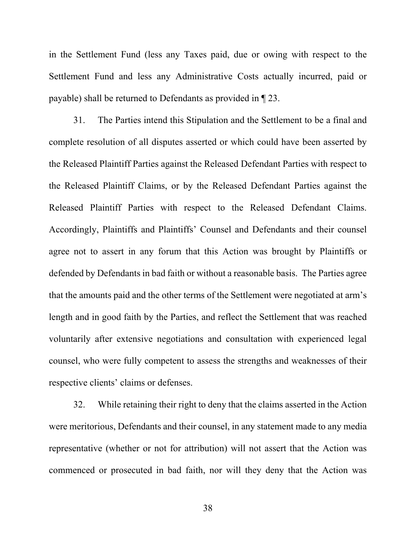in the Settlement Fund (less any Taxes paid, due or owing with respect to the Settlement Fund and less any Administrative Costs actually incurred, paid or payable) shall be returned to Defendants as provided in ¶ 23.

31. The Parties intend this Stipulation and the Settlement to be a final and complete resolution of all disputes asserted or which could have been asserted by the Released Plaintiff Parties against the Released Defendant Parties with respect to the Released Plaintiff Claims, or by the Released Defendant Parties against the Released Plaintiff Parties with respect to the Released Defendant Claims. Accordingly, Plaintiffs and Plaintiffs' Counsel and Defendants and their counsel agree not to assert in any forum that this Action was brought by Plaintiffs or defended by Defendants in bad faith or without a reasonable basis. The Parties agree that the amounts paid and the other terms of the Settlement were negotiated at arm's length and in good faith by the Parties, and reflect the Settlement that was reached voluntarily after extensive negotiations and consultation with experienced legal counsel, who were fully competent to assess the strengths and weaknesses of their respective clients' claims or defenses.

32. While retaining their right to deny that the claims asserted in the Action were meritorious, Defendants and their counsel, in any statement made to any media representative (whether or not for attribution) will not assert that the Action was commenced or prosecuted in bad faith, nor will they deny that the Action was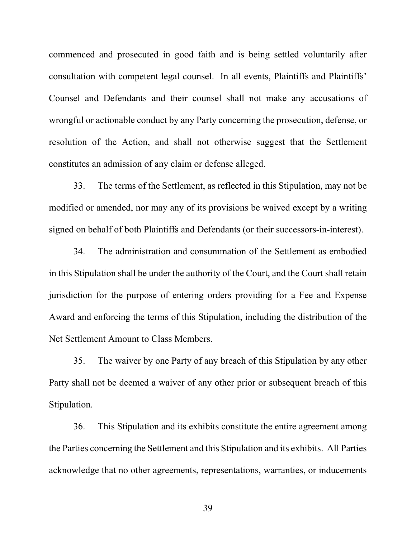commenced and prosecuted in good faith and is being settled voluntarily after consultation with competent legal counsel. In all events, Plaintiffs and Plaintiffs' Counsel and Defendants and their counsel shall not make any accusations of wrongful or actionable conduct by any Party concerning the prosecution, defense, or resolution of the Action, and shall not otherwise suggest that the Settlement constitutes an admission of any claim or defense alleged.

33. The terms of the Settlement, as reflected in this Stipulation, may not be modified or amended, nor may any of its provisions be waived except by a writing signed on behalf of both Plaintiffs and Defendants (or their successors-in-interest).

34. The administration and consummation of the Settlement as embodied in this Stipulation shall be under the authority of the Court, and the Court shall retain jurisdiction for the purpose of entering orders providing for a Fee and Expense Award and enforcing the terms of this Stipulation, including the distribution of the Net Settlement Amount to Class Members.

35. The waiver by one Party of any breach of this Stipulation by any other Party shall not be deemed a waiver of any other prior or subsequent breach of this Stipulation.

36. This Stipulation and its exhibits constitute the entire agreement among the Parties concerning the Settlement and this Stipulation and its exhibits. All Parties acknowledge that no other agreements, representations, warranties, or inducements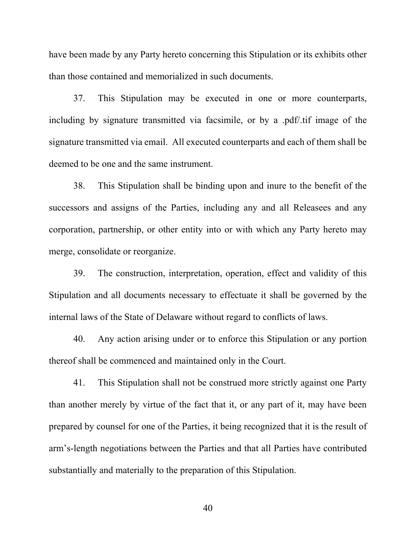have been made by any Party hereto concerning this Stipulation or its exhibits other than those contained and memorialized in such documents.

37. This Stipulation may be executed in one or more counterparts, including by signature transmitted via facsimile, or by a .pdf/.tif image of the signature transmitted via email. All executed counterparts and each of them shall be deemed to be one and the same instrument.

38. This Stipulation shall be binding upon and inure to the benefit of the successors and assigns of the Parties, including any and all Releasees and any corporation, partnership, or other entity into or with which any Party hereto may merge, consolidate or reorganize.

39. The construction, interpretation, operation, effect and validity of this Stipulation and all documents necessary to effectuate it shall be governed by the internal laws of the State of Delaware without regard to conflicts of laws.

40. Any action arising under or to enforce this Stipulation or any portion thereof shall be commenced and maintained only in the Court.

41. This Stipulation shall not be construed more strictly against one Party than another merely by virtue of the fact that it, or any part of it, may have been prepared by counsel for one of the Parties, it being recognized that it is the result of arm's-length negotiations between the Parties and that all Parties have contributed substantially and materially to the preparation of this Stipulation.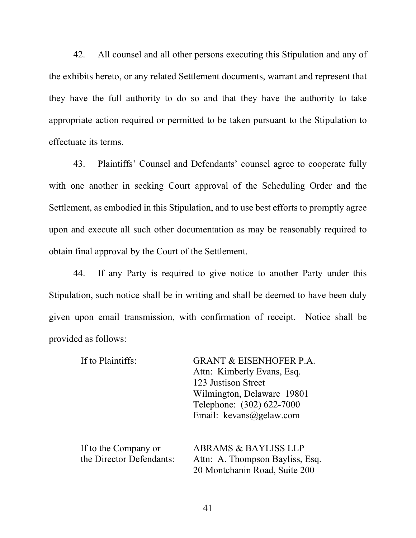42. All counsel and all other persons executing this Stipulation and any of the exhibits hereto, or any related Settlement documents, warrant and represent that they have the full authority to do so and that they have the authority to take appropriate action required or permitted to be taken pursuant to the Stipulation to effectuate its terms.

43. Plaintiffs' Counsel and Defendants' counsel agree to cooperate fully with one another in seeking Court approval of the Scheduling Order and the Settlement, as embodied in this Stipulation, and to use best efforts to promptly agree upon and execute all such other documentation as may be reasonably required to obtain final approval by the Court of the Settlement.

44. If any Party is required to give notice to another Party under this Stipulation, such notice shall be in writing and shall be deemed to have been duly given upon email transmission, with confirmation of receipt. Notice shall be provided as follows:

| If to Plaintiffs:        | <b>GRANT &amp; EISENHOFER P.A.</b> |
|--------------------------|------------------------------------|
|                          | Attn: Kimberly Evans, Esq.         |
|                          | 123 Justison Street                |
|                          | Wilmington, Delaware 19801         |
|                          | Telephone: (302) 622-7000          |
|                          | Email: kevans@gelaw.com            |
|                          |                                    |
| If to the Company or     | <b>ABRAMS &amp; BAYLISS LLP</b>    |
| the Director Defendants: | Attn: A. Thompson Bayliss, Esq.    |
|                          | 20 Montchanin Road, Suite 200      |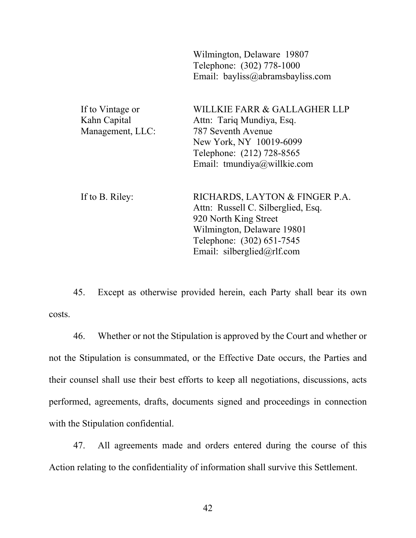|                                                      | Wilmington, Delaware 19807<br>Telephone: (302) 778-1000<br>Email: bayliss@abramsbayliss.com                                                                                            |
|------------------------------------------------------|----------------------------------------------------------------------------------------------------------------------------------------------------------------------------------------|
| If to Vintage or<br>Kahn Capital<br>Management, LLC: | WILLKIE FARR & GALLAGHER LLP<br>Attn: Tariq Mundiya, Esq.<br>787 Seventh Avenue<br>New York, NY 10019-6099<br>Telephone: (212) 728-8565<br>Email: tmundiya@willkie.com                 |
| If to B. Riley:                                      | RICHARDS, LAYTON & FINGER P.A.<br>Attn: Russell C. Silberglied, Esq.<br>920 North King Street<br>Wilmington, Delaware 19801<br>Telephone: (302) 651-7545<br>Email: silberglied@rlf.com |

45. Except as otherwise provided herein, each Party shall bear its own costs.

46. Whether or not the Stipulation is approved by the Court and whether or not the Stipulation is consummated, or the Effective Date occurs, the Parties and their counsel shall use their best efforts to keep all negotiations, discussions, acts performed, agreements, drafts, documents signed and proceedings in connection with the Stipulation confidential.

47. All agreements made and orders entered during the course of this Action relating to the confidentiality of information shall survive this Settlement.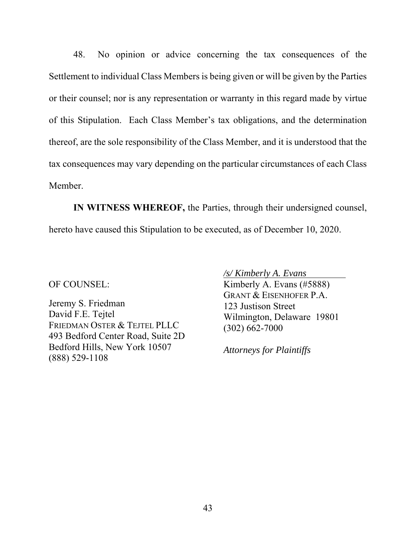48. No opinion or advice concerning the tax consequences of the Settlement to individual Class Members is being given or will be given by the Parties or their counsel; nor is any representation or warranty in this regard made by virtue of this Stipulation. Each Class Member's tax obligations, and the determination thereof, are the sole responsibility of the Class Member, and it is understood that the tax consequences may vary depending on the particular circumstances of each Class Member.

**IN WITNESS WHEREOF,** the Parties, through their undersigned counsel, hereto have caused this Stipulation to be executed, as of December 10, 2020.

OF COUNSEL:

Jeremy S. Friedman David F.E. Tejtel FRIEDMAN OSTER & TEJTEL PLLC 493 Bedford Center Road, Suite 2D Bedford Hills, New York 10507 (888) 529-1108

*/s/ Kimberly A. Evans* 

Kimberly A. Evans (#5888) GRANT & EISENHOFER P.A. 123 Justison Street Wilmington, Delaware 19801 (302) 662-7000

*Attorneys for Plaintiffs*